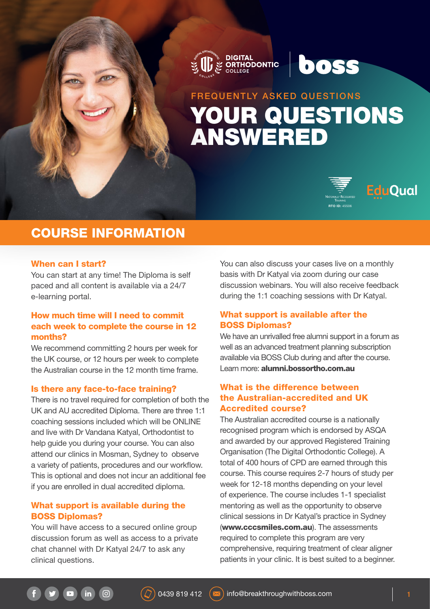



boss





## COURSE INFORMATION

#### When can I start?

You can start at any time! The Diploma is self paced and all content is available via a 24/7 e-learning portal.

## How much time will I need to commit each week to complete the course in 12 months?

We recommend committing 2 hours per week for the UK course, or 12 hours per week to complete the Australian course in the 12 month time frame.

#### Is there any face-to-face training?

There is no travel required for completion of both the UK and AU accredited Diploma. There are three 1:1 coaching sessions included which will be ONLINE and live with Dr Vandana Katyal, Orthodontist to help guide you during your course. You can also attend our clinics in Mosman, Sydney to observe a variety of patients, procedures and our workflow. This is optional and does not incur an additional fee if you are enrolled in dual accredited diploma.

## What support is available during the BOSS Diplomas?

 $\sqrt{a}$ 

You will have access to a secured online group discussion forum as well as access to a private chat channel with Dr Katyal 24/7 to ask any clinical questions.

You can also discuss your cases live on a monthly basis with Dr Katyal via zoom during our case discussion webinars. You will also receive feedback during the 1:1 coaching sessions with Dr Katyal.

#### What support is available after the BOSS Diplomas?

We have an unrivalled free alumni support in a forum as well as an advanced treatment planning subscription available via BOSS Club during and after the course. Learn more: [alumni.bossortho.com.au](http://alumni.bossortho.com.au )

## What is the difference between the Australian-accredited and UK Accredited course?

The Australian accredited course is a nationally recognised program which is endorsed by ASQA and awarded by our approved Registered Training Organisation (The Digital Orthodontic College). A total of 400 hours of CPD are earned through this course. This course requires 2-7 hours of study per week for 12-18 months depending on your level of experience. The course includes 1-1 specialist mentoring as well as the opportunity to observe clinical sessions in Dr Katyal's practice in Sydney ([www.cccsmiles.com.au](http://www.cccsmiles.com.au)). The assessments required to complete this program are very comprehensive, requiring treatment of clear aligner patients in your clinic. It is best suited to a beginner.

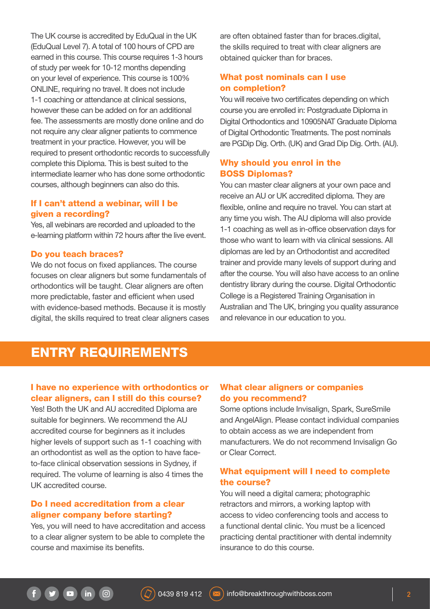The UK course is accredited by EduQual in the UK (EduQual Level 7). A total of 100 hours of CPD are earned in this course. This course requires 1-3 hours of study per week for 10-12 months depending on your level of experience. This course is 100% ONLINE, requiring no travel. It does not include 1-1 coaching or attendance at clinical sessions, however these can be added on for an additional fee. The assessments are mostly done online and do not require any clear aligner patients to commence treatment in your practice. However, you will be required to present orthodontic records to successfully complete this Diploma. This is best suited to the intermediate learner who has done some orthodontic courses, although beginners can also do this.

## If I can't attend a webinar, will I be given a recording?

Yes, all webinars are recorded and uploaded to the e-learning platform within 72 hours after the live event.

#### Do you teach braces?

We do not focus on fixed appliances. The course focuses on clear aligners but some fundamentals of orthodontics will be taught. Clear aligners are often more predictable, faster and efficient when used with evidence-based methods. Because it is mostly digital, the skills required to treat clear aligners cases

are often obtained faster than for braces.digital, the skills required to treat with clear aligners are obtained quicker than for braces.

## What post nominals can I use on completion?

You will receive two certificates depending on which course you are enrolled in: Postgraduate Diploma in Digital Orthodontics and 10905NAT Graduate Diploma of Digital Orthodontic Treatments. The post nominals are PGDip Dig. Orth. (UK) and Grad Dip Dig. Orth. (AU).

## Why should you enrol in the BOSS Diplomas?

You can master clear aligners at your own pace and receive an AU or UK accredited diploma. They are flexible, online and require no travel. You can start at any time you wish. The AU diploma will also provide 1-1 coaching as well as in-office observation days for those who want to learn with via clinical sessions. All diplomas are led by an Orthodontist and accredited trainer and provide many levels of support during and after the course. You will also have access to an online dentistry library during the course. Digital Orthodontic College is a Registered Training Organisation in Australian and The UK, bringing you quality assurance and relevance in our education to you.

## ENTRY REQUIREMENTS

#### I have no experience with orthodontics or clear aligners, can I still do this course?

Yes! Both the UK and AU accredited Diploma are suitable for beginners. We recommend the AU accredited course for beginners as it includes higher levels of support such as 1-1 coaching with an orthodontist as well as the option to have faceto-face clinical observation sessions in Sydney, if required. The volume of learning is also 4 times the UK accredited course.

## Do I need accreditation from a clear aligner company before starting?

 $\boxed{0}$ 

in

Yes, you will need to have accreditation and access to a clear aligner system to be able to complete the course and maximise its benefits.

## What clear aligners or companies do you recommend?

Some options include Invisalign, Spark, SureSmile and AngelAlign. Please contact individual companies to obtain access as we are independent from manufacturers. We do not recommend Invisalign Go or Clear Correct.

## What equipment will I need to complete the course?

You will need a digital camera; photographic retractors and mirrors, a working laptop with access to video conferencing tools and access to a functional dental clinic. You must be a licenced practicing dental practitioner with dental indemnity insurance to do this course.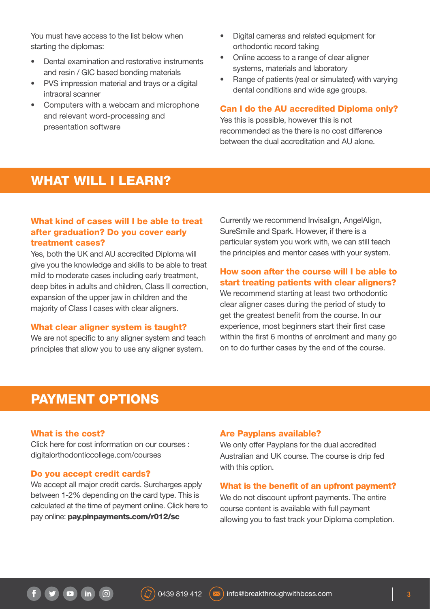You must have access to the list below when starting the diplomas:

- Dental examination and restorative instruments and resin / GIC based bonding materials
- PVS impression material and trays or a digital intraoral scanner
- Computers with a webcam and microphone and relevant word-processing and presentation software
- Digital cameras and related equipment for orthodontic record taking
- Online access to a range of clear aligner systems, materials and laboratory
- Range of patients (real or simulated) with varying dental conditions and wide age groups.

#### Can I do the AU accredited Diploma only?

Yes this is possible, however this is not recommended as the there is no cost difference between the dual accreditation and AU alone.

# WHAT WILL I LEARN?

## What kind of cases will I be able to treat after graduation? Do you cover early treatment cases?

Yes, both the UK and AU accredited Diploma will give you the knowledge and skills to be able to treat mild to moderate cases including early treatment, deep bites in adults and children, Class II correction, expansion of the upper jaw in children and the majority of Class I cases with clear aligners.

#### What clear aligner system is taught?

We are not specific to any aligner system and teach principles that allow you to use any aligner system.

Currently we recommend Invisalign, AngelAlign, SureSmile and Spark. However, if there is a particular system you work with, we can still teach the principles and mentor cases with your system.

## How soon after the course will I be able to start treating patients with clear aligners?

We recommend starting at least two orthodontic clear aligner cases during the period of study to get the greatest benefit from the course. In our experience, most beginners start their first case within the first 6 months of enrolment and many go on to do further cases by the end of the course.

## PAYMENT OPTIONS

#### What is the cost?

Click here for cost information on our courses : [digitalorthodonticcollege.com/courses](http://digitalorthodonticcollege.com/courses)

#### Do you accept credit cards?

We accept all major credit cards. Surcharges apply between 1-2% depending on the card type. This is calculated at the time of payment online. Click here to pay online: [pay.pinpayments.com/r012/sc](http://pay.pinpayments.com/r012/sc)

 $\sqrt{a}$ 

#### Are Payplans available?

We only offer Payplans for the dual accredited Australian and UK course. The course is drip fed with this option.

#### What is the benefit of an upfront payment?

We do not discount upfront payments. The entire course content is available with full payment allowing you to fast track your Diploma completion.